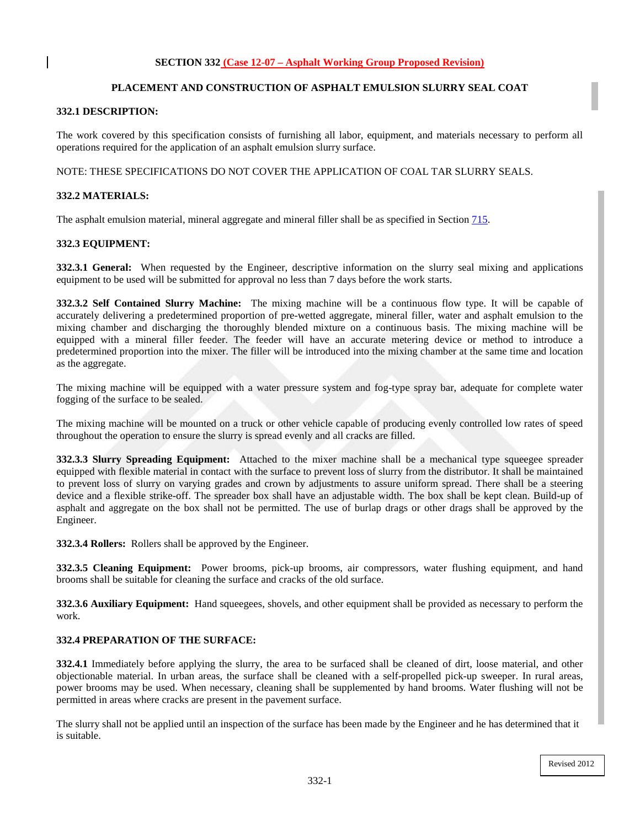# **PLACEMENT AND CONSTRUCTION OF ASPHALT EMULSION SLURRY SEAL COAT**

### **332.1 DESCRIPTION:**

The work covered by this specification consists of furnishing all labor, equipment, and materials necessary to perform all operations required for the application of an asphalt emulsion slurry surface.

NOTE: THESE SPECIFICATIONS DO NOT COVER THE APPLICATION OF COAL TAR SLURRY SEALS.

### **332.2 MATERIALS:**

The asphalt emulsion material, mineral aggregate and mineral filler shall be as specified in Section 715.

#### **332.3 EQUIPMENT:**

**332.3.1 General:** When requested by the Engineer, descriptive information on the slurry seal mixing and applications equipment to be used will be submitted for approval no less than 7 days before the work starts.

**332.3.2 Self Contained Slurry Machine:** The mixing machine will be a continuous flow type. It will be capable of accurately delivering a predetermined proportion of pre-wetted aggregate, mineral filler, water and asphalt emulsion to the mixing chamber and discharging the thoroughly blended mixture on a continuous basis. The mixing machine will be equipped with a mineral filler feeder. The feeder will have an accurate metering device or method to introduce a predetermined proportion into the mixer. The filler will be introduced into the mixing chamber at the same time and location as the aggregate.

The mixing machine will be equipped with a water pressure system and fog-type spray bar, adequate for complete water fogging of the surface to be sealed.

The mixing machine will be mounted on a truck or other vehicle capable of producing evenly controlled low rates of speed throughout the operation to ensure the slurry is spread evenly and all cracks are filled.

**332.3.3 Slurry Spreading Equipment:** Attached to the mixer machine shall be a mechanical type squeegee spreader equipped with flexible material in contact with the surface to prevent loss of slurry from the distributor. It shall be maintained to prevent loss of slurry on varying grades and crown by adjustments to assure uniform spread. There shall be a steering device and a flexible strike-off. The spreader box shall have an adjustable width. The box shall be kept clean. Build-up of asphalt and aggregate on the box shall not be permitted. The use of burlap drags or other drags shall be approved by the Engineer.

**332.3.4 Rollers:** Rollers shall be approved by the Engineer.

**332.3.5 Cleaning Equipment:** Power brooms, pick-up brooms, air compressors, water flushing equipment, and hand brooms shall be suitable for cleaning the surface and cracks of the old surface.

**332.3.6 Auxiliary Equipment:** Hand squeegees, shovels, and other equipment shall be provided as necessary to perform the work.

## **332.4 PREPARATION OF THE SURFACE:**

**332.4.1** Immediately before applying the slurry, the area to be surfaced shall be cleaned of dirt, loose material, and other objectionable material. In urban areas, the surface shall be cleaned with a self-propelled pick-up sweeper. In rural areas, power brooms may be used. When necessary, cleaning shall be supplemented by hand brooms. Water flushing will not be permitted in areas where cracks are present in the pavement surface.

The slurry shall not be applied until an inspection of the surface has been made by the Engineer and he has determined that it is suitable.